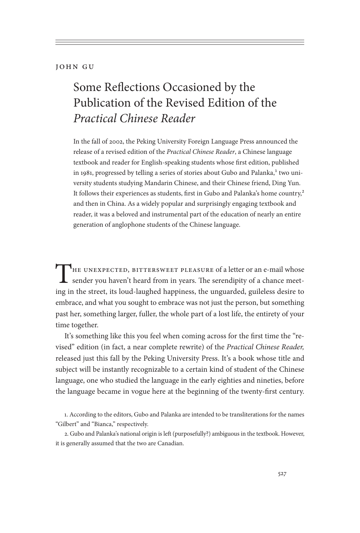## John Gu

## Some Reflections Occasioned by the Publication of the Revised Edition of the *Practical Chinese Reader*

In the fall of 2002, the Peking University Foreign Language Press announced the release of a revised edition of the *Practical Chinese Reader*, a Chinese language textbook and reader for English-speaking students whose first edition, published in 1981, progressed by telling a series of stories about Gubo and Palanka,<sup>1</sup> two university students studying Mandarin Chinese, and their Chinese friend, Ding Yun. It follows their experiences as students, first in Gubo and Palanka's home country,<sup>2</sup> and then in China. As a widely popular and surprisingly engaging textbook and reader, it was a beloved and instrumental part of the education of nearly an entire generation of anglophone students of the Chinese language.

THE UNEXPECTED, BITTERSWEET PLEASURE of a letter or an e-mail whose sender you haven't heard from in years. The serendipity of a chance meeting in the street, its loud-laughed happiness, the unguarded, guileless desire to embrace, and what you sought to embrace was not just the person, but something past her, something larger, fuller, the whole part of a lost life, the entirety of your time together.

It's something like this you feel when coming across for the first time the "revised" edition (in fact, a near complete rewrite) of the *Practical Chinese Reader,* released just this fall by the Peking University Press. It's a book whose title and subject will be instantly recognizable to a certain kind of student of the Chinese language, one who studied the language in the early eighties and nineties, before the language became in vogue here at the beginning of the twenty-first century.

<sup>1.</sup> According to the editors, Gubo and Palanka are intended to be transliterations for the names "Gilbert" and "Bianca," respectively.

<sup>2.</sup> Gubo and Palanka's national origin is left (purposefully?) ambiguous in the textbook. However, it is generally assumed that the two are Canadian.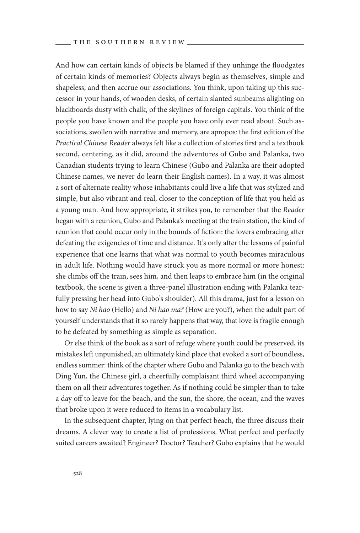And how can certain kinds of objects be blamed if they unhinge the floodgates of certain kinds of memories? Objects always begin as themselves, simple and shapeless, and then accrue our associations. You think, upon taking up this successor in your hands, of wooden desks, of certain slanted sunbeams alighting on blackboards dusty with chalk, of the skylines of foreign capitals. You think of the people you have known and the people you have only ever read about. Such associations, swollen with narrative and memory, are apropos: the first edition of the *Practical Chinese Reader* always felt like a collection of stories first and a textbook second, centering, as it did, around the adventures of Gubo and Palanka, two Canadian students trying to learn Chinese (Gubo and Palanka are their adopted Chinese names, we never do learn their English names). In a way, it was almost a sort of alternate reality whose inhabitants could live a life that was stylized and simple, but also vibrant and real, closer to the conception of life that you held as a young man. And how appropriate, it strikes you, to remember that the *Reader* began with a reunion, Gubo and Palanka's meeting at the train station, the kind of reunion that could occur only in the bounds of fiction: the lovers embracing after defeating the exigencies of time and distance. It's only after the lessons of painful experience that one learns that what was normal to youth becomes miraculous in adult life. Nothing would have struck you as more normal or more honest: she climbs off the train, sees him, and then leaps to embrace him (in the original textbook, the scene is given a three-panel illustration ending with Palanka tearfully pressing her head into Gubo's shoulder). All this drama, just for a lesson on how to say *Ni hao* (Hello) and *Ni hao ma?* (How are you?), when the adult part of yourself understands that it so rarely happens that way, that love is fragile enough to be defeated by something as simple as separation.

Or else think of the book as a sort of refuge where youth could be preserved, its mistakes left unpunished, an ultimately kind place that evoked a sort of boundless, endless summer: think of the chapter where Gubo and Palanka go to the beach with Ding Yun, the Chinese girl, a cheerfully complaisant third wheel accompanying them on all their adventures together. As if nothing could be simpler than to take a day off to leave for the beach, and the sun, the shore, the ocean, and the waves that broke upon it were reduced to items in a vocabulary list.

In the subsequent chapter, lying on that perfect beach, the three discuss their dreams. A clever way to create a list of professions. What perfect and perfectly suited careers awaited? Engineer? Doctor? Teacher? Gubo explains that he would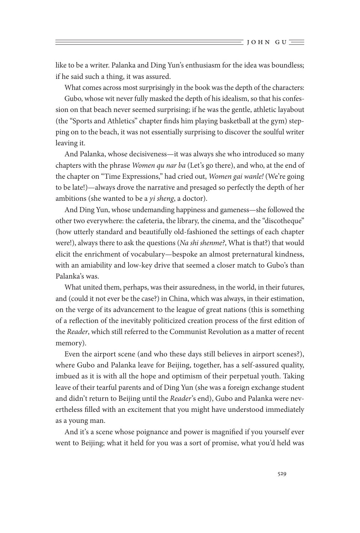like to be a writer. Palanka and Ding Yun's enthusiasm for the idea was boundless; if he said such a thing, it was assured.

What comes across most surprisingly in the book was the depth of the characters: Gubo, whose wit never fully masked the depth of his idealism, so that his confession on that beach never seemed surprising; if he was the gentle, athletic layabout (the "Sports and Athletics" chapter finds him playing basketball at the gym) stepping on to the beach, it was not essentially surprising to discover the soulful writer leaving it.

And Palanka, whose decisiveness—it was always she who introduced so many chapters with the phrase *Women qu nar ba* (Let's go there), and who, at the end of the chapter on "Time Expressions," had cried out, *Women gai wanle!* (We're going to be late!)—always drove the narrative and presaged so perfectly the depth of her ambitions (she wanted to be a *yi sheng*, a doctor).

And Ding Yun, whose undemanding happiness and gameness—she followed the other two everywhere: the cafeteria, the library, the cinema, and the "discotheque" (how utterly standard and beautifully old-fashioned the settings of each chapter were!), always there to ask the questions (*Na shi shenme?*, What is that?) that would elicit the enrichment of vocabulary—bespoke an almost preternatural kindness, with an amiability and low-key drive that seemed a closer match to Gubo's than Palanka's was.

What united them, perhaps, was their assuredness, in the world, in their futures, and (could it not ever be the case?) in China, which was always, in their estimation, on the verge of its advancement to the league of great nations (this is something of a reflection of the inevitably politicized creation process of the first edition of the *Reader*, which still referred to the Communist Revolution as a matter of recent memory).

Even the airport scene (and who these days still believes in airport scenes?), where Gubo and Palanka leave for Beijing, together, has a self-assured quality, imbued as it is with all the hope and optimism of their perpetual youth. Taking leave of their tearful parents and of Ding Yun (she was a foreign exchange student and didn't return to Beijing until the *Reader*'s end), Gubo and Palanka were nevertheless filled with an excitement that you might have understood immediately as a young man.

And it's a scene whose poignance and power is magnified if you yourself ever went to Beijing; what it held for you was a sort of promise, what you'd held was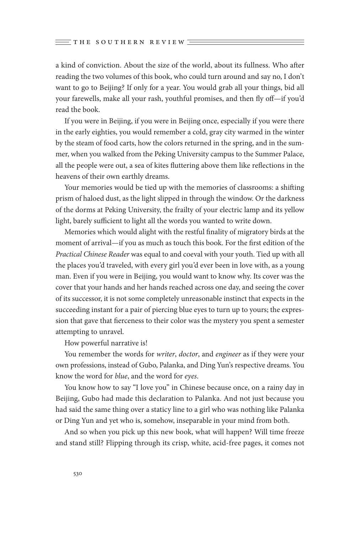a kind of conviction. About the size of the world, about its fullness. Who after reading the two volumes of this book, who could turn around and say no, I don't want to go to Beijing? If only for a year. You would grab all your things, bid all your farewells, make all your rash, youthful promises, and then fly off—if you'd read the book.

If you were in Beijing, if you were in Beijing once, especially if you were there in the early eighties, you would remember a cold, gray city warmed in the winter by the steam of food carts, how the colors returned in the spring, and in the summer, when you walked from the Peking University campus to the Summer Palace, all the people were out, a sea of kites fluttering above them like reflections in the heavens of their own earthly dreams.

Your memories would be tied up with the memories of classrooms: a shifting prism of haloed dust, as the light slipped in through the window. Or the darkness of the dorms at Peking University, the frailty of your electric lamp and its yellow light, barely sufficient to light all the words you wanted to write down.

Memories which would alight with the restful finality of migratory birds at the moment of arrival—if you as much as touch this book. For the first edition of the *Practical Chinese Reader* was equal to and coeval with your youth. Tied up with all the places you'd traveled, with every girl you'd ever been in love with, as a young man. Even if you were in Beijing, you would want to know why. Its cover was the cover that your hands and her hands reached across one day, and seeing the cover of its successor, it is not some completely unreasonable instinct that expects in the succeeding instant for a pair of piercing blue eyes to turn up to yours; the expression that gave that fierceness to their color was the mystery you spent a semester attempting to unravel.

How powerful narrative is!

You remember the words for *writer*, *doctor*, and *engineer* as if they were your own professions, instead of Gubo, Palanka, and Ding Yun's respective dreams. You know the word for *blue*, and the word for *eyes*.

You know how to say "I love you" in Chinese because once, on a rainy day in Beijing, Gubo had made this declaration to Palanka. And not just because you had said the same thing over a staticy line to a girl who was nothing like Palanka or Ding Yun and yet who is, somehow, inseparable in your mind from both.

And so when you pick up this new book, what will happen? Will time freeze and stand still? Flipping through its crisp, white, acid-free pages, it comes not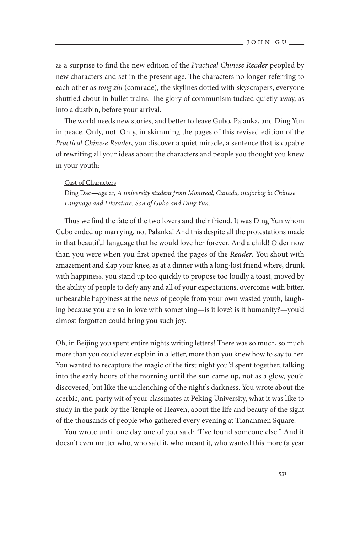as a surprise to find the new edition of the *Practical Chinese Reader* peopled by new characters and set in the present age. The characters no longer referring to each other as *tong zhi* (comrade), the skylines dotted with skyscrapers, everyone shuttled about in bullet trains. The glory of communism tucked quietly away, as into a dustbin, before your arrival.

The world needs new stories, and better to leave Gubo, Palanka, and Ding Yun in peace. Only, not. Only, in skimming the pages of this revised edition of the *Practical Chinese Reader*, you discover a quiet miracle, a sentence that is capable of rewriting all your ideas about the characters and people you thought you knew in your youth:

## Cast of Characters

Ding Dao—*age 21, A university student from Montreal, Canada, majoring in Chinese Language and Literature. Son of Gubo and Ding Yun.*

Thus we find the fate of the two lovers and their friend. It was Ding Yun whom Gubo ended up marrying, not Palanka! And this despite all the protestations made in that beautiful language that he would love her forever. And a child! Older now than you were when you first opened the pages of the *Reader*. You shout with amazement and slap your knee, as at a dinner with a long-lost friend where, drunk with happiness, you stand up too quickly to propose too loudly a toast, moved by the ability of people to defy any and all of your expectations, overcome with bitter, unbearable happiness at the news of people from your own wasted youth, laughing because you are so in love with something—is it love? is it humanity?—you'd almost forgotten could bring you such joy.

Oh, in Beijing you spent entire nights writing letters! There was so much, so much more than you could ever explain in a letter, more than you knew how to say to her. You wanted to recapture the magic of the first night you'd spent together, talking into the early hours of the morning until the sun came up, not as a glow, you'd discovered, but like the unclenching of the night's darkness. You wrote about the acerbic, anti-party wit of your classmates at Peking University, what it was like to study in the park by the Temple of Heaven, about the life and beauty of the sight of the thousands of people who gathered every evening at Tiananmen Square.

You wrote until one day one of you said: "I've found someone else." And it doesn't even matter who, who said it, who meant it, who wanted this more (a year